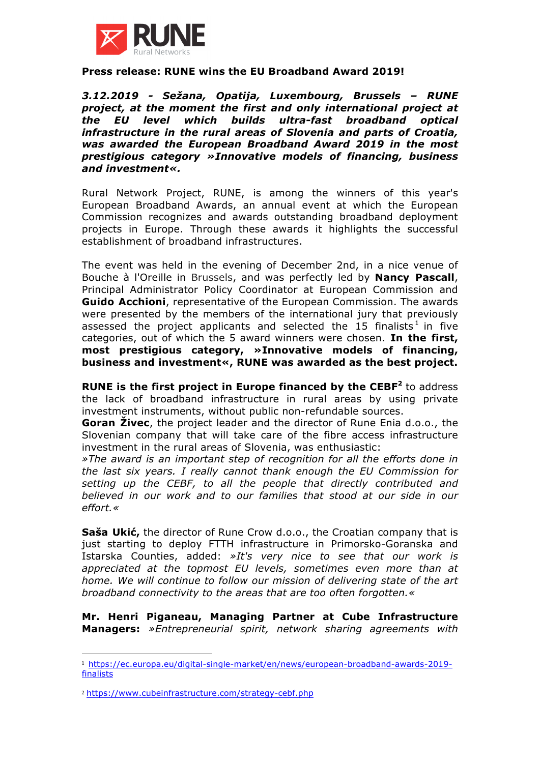

## **Press release: RUNE wins the EU Broadband Award 2019!**

*3.12.2019 - Sežana, Opatija, Luxembourg, Brussels – RUNE project, at the moment the first and only international project at the EU level which builds ultra-fast broadband optical infrastructure in the rural areas of Slovenia and parts of Croatia, was awarded the European Broadband Award 2019 in the most prestigious category »Innovative models of financing, business and investment«.* 

Rural Network Project, RUNE, is among the winners of this year's European Broadband Awards, an annual event at which the European Commission recognizes and awards outstanding broadband deployment projects in Europe. Through these awards it highlights the successful establishment of broadband infrastructures.

The event was held in the evening of December 2nd, in a nice venue of Bouche à l'Oreille in Brussels, and was perfectly led by **Nancy Pascall**, Principal Administrator Policy Coordinator at European Commission and **Guido Acchioni**, representative of the European Commission. The awards were presented by the members of the international jury that previously assessed the project applicants and selected the 15 finalists<sup>1</sup> in five categories, out of which the 5 award winners were chosen. **In the first, most prestigious category, »Innovative models of financing, business and investment«, RUNE was awarded as the best project.**

**RUNE is the first project in Europe financed by the CEBF<sup>2</sup>** to address the lack of broadband infrastructure in rural areas by using private investment instruments, without public non-refundable sources.

**Goran Živec**, the project leader and the director of Rune Enia d.o.o., the Slovenian company that will take care of the fibre access infrastructure investment in the rural areas of Slovenia, was enthusiastic:

*»The award is an important step of recognition for all the efforts done in the last six years. I really cannot thank enough the EU Commission for setting up the CEBF, to all the people that directly contributed and believed in our work and to our families that stood at our side in our effort.«*

**Saša Ukić,** the director of Rune Crow d.o.o., the Croatian company that is just starting to deploy FTTH infrastructure in Primorsko-Goranska and Istarska Counties, added: *»It's very nice to see that our work is appreciated at the topmost EU levels, sometimes even more than at home. We will continue to follow our mission of delivering state of the art broadband connectivity to the areas that are too often forgotten.«*

**Mr. Henri Piganeau, Managing Partner at Cube Infrastructure Managers:** *»Entrepreneurial spirit, network sharing agreements with* 

 

<sup>1</sup> https://ec.europa.eu/digital-single-market/en/news/european-broadband-awards-2019 finalists

<sup>2</sup> https://www.cubeinfrastructure.com/strategy-cebf.php